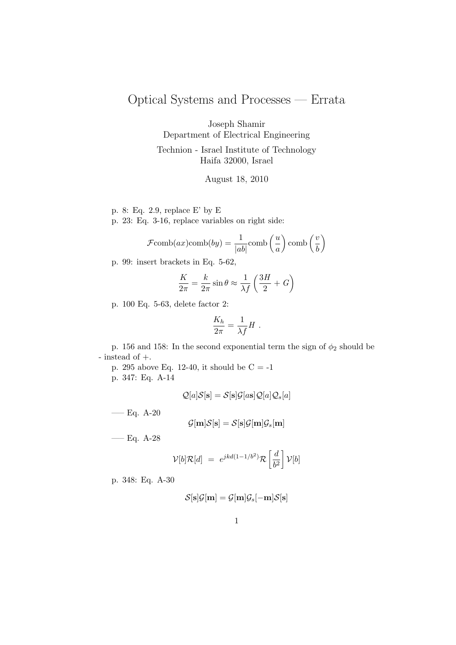## Optical Systems and Processes — Errata

Joseph Shamir

Department of Electrical Engineering

Technion - Israel Institute of Technology Haifa 32000, Israel

August 18, 2010

- p. 8: Eq. 2.9, replace E' by E
- p. 23: Eq. 3-16, replace variables on right side:

$$
\mathcal{F}\text{comb}(ax)\text{comb}(by) = \frac{1}{|ab|}\text{comb}\left(\frac{u}{a}\right)\text{comb}\left(\frac{v}{b}\right)
$$

p. 99: insert brackets in Eq. 5-62,

$$
\frac{K}{2\pi} = \frac{k}{2\pi} \sin \theta \approx \frac{1}{\lambda f} \left( \frac{3H}{2} + G \right)
$$

p. 100 Eq. 5-63, delete factor 2:

$$
\frac{K_h}{2\pi} = \frac{1}{\lambda f} H .
$$

p. 156 and 158: In the second exponential term the sign of  $\phi_2$  should be - instead of +.

p. 295 above Eq. 12-40, it should be  $\mathrm{C} =$  -1 p. 347: Eq. A-14

$$
\mathcal{Q}[a]\mathcal{S}[\mathbf{s}] = \mathcal{S}[\mathbf{s}]\mathcal{G}[a\mathbf{s}]\mathcal{Q}[a]\mathcal{Q}_s[a]
$$

—– Eq. A-20

$$
\mathcal{G}[\mathbf{m}]\mathcal{S}[\mathbf{s}] = \mathcal{S}[\mathbf{s}]\mathcal{G}[\mathbf{m}]\mathcal{G}_s[\mathbf{m}]
$$

—– Eq. A-28

$$
\mathcal{V}[b]\mathcal{R}[d] = e^{jkd(1-1/b^2)}\mathcal{R}\left[\frac{d}{b^2}\right]\mathcal{V}[b]
$$

p. 348: Eq. A-30

$$
\mathcal{S}[\mathbf{s}]\mathcal{G}[\mathbf{m}] = \mathcal{G}[\mathbf{m}]\mathcal{G}_s[-\mathbf{m}]\mathcal{S}[\mathbf{s}]
$$